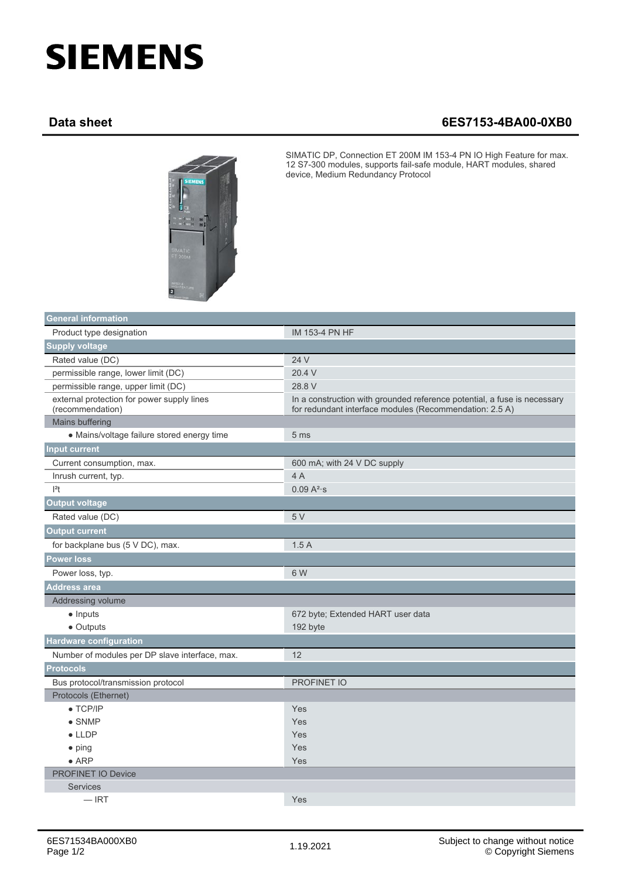## **SIEMENS**

## **Data sheet 6ES7153-4BA00-0XB0**



SIMATIC DP, Connection ET 200M IM 153-4 PN IO High Feature for max. 12 S7-300 modules, supports fail-safe module, HART modules, shared device, Medium Redundancy Protocol

| General information                                            |                                                                                                                                     |
|----------------------------------------------------------------|-------------------------------------------------------------------------------------------------------------------------------------|
| Product type designation                                       | IM 153-4 PN HF                                                                                                                      |
| <b>Supply voltage</b>                                          |                                                                                                                                     |
| Rated value (DC)                                               | 24 V                                                                                                                                |
| permissible range, lower limit (DC)                            | 20.4 V                                                                                                                              |
| permissible range, upper limit (DC)                            | 28.8 V                                                                                                                              |
| external protection for power supply lines<br>(recommendation) | In a construction with grounded reference potential, a fuse is necessary<br>for redundant interface modules (Recommendation: 2.5 A) |
| Mains buffering                                                |                                                                                                                                     |
| • Mains/voltage failure stored energy time                     | 5 <sub>ms</sub>                                                                                                                     |
| <b>Input current</b>                                           |                                                                                                                                     |
| Current consumption, max.                                      | 600 mA; with 24 V DC supply                                                                                                         |
| Inrush current, typ.                                           | 4A                                                                                                                                  |
| $ ^{2}t$                                                       | 0.09 A <sup>2</sup> ·s                                                                                                              |
| <b>Output voltage</b>                                          |                                                                                                                                     |
| Rated value (DC)                                               | 5V                                                                                                                                  |
| <b>Output current</b>                                          |                                                                                                                                     |
| for backplane bus (5 V DC), max.                               | 1.5A                                                                                                                                |
| <b>Power loss</b>                                              |                                                                                                                                     |
| Power loss, typ.                                               | 6 W                                                                                                                                 |
| <b>Address area</b>                                            |                                                                                                                                     |
| Addressing volume                                              |                                                                                                                                     |
| $\bullet$ Inputs                                               | 672 byte; Extended HART user data                                                                                                   |
| • Outputs                                                      | 192 byte                                                                                                                            |
| <b>Hardware configuration</b>                                  |                                                                                                                                     |
| Number of modules per DP slave interface, max.                 | 12                                                                                                                                  |
| <b>Protocols</b>                                               |                                                                                                                                     |
| Bus protocol/transmission protocol                             | <b>PROFINET IO</b>                                                                                                                  |
| Protocols (Ethernet)                                           |                                                                                                                                     |
| $\bullet$ TCP/IP                                               | Yes                                                                                                                                 |
| $\bullet$ SNMP                                                 | Yes                                                                                                                                 |
| $\bullet$ LLDP                                                 | Yes                                                                                                                                 |
| $\bullet$ ping                                                 | Yes                                                                                                                                 |
| $\bullet$ ARP                                                  | Yes                                                                                                                                 |
| <b>PROFINET IO Device</b>                                      |                                                                                                                                     |
| <b>Services</b>                                                |                                                                                                                                     |
| $-$ IRT                                                        | Yes                                                                                                                                 |